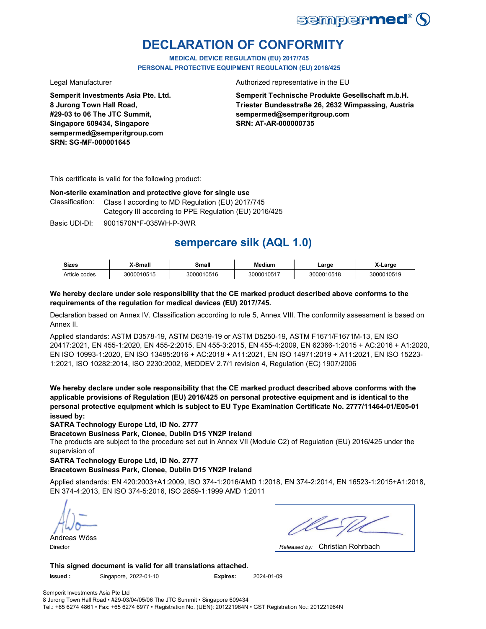

# **DECLARATION OF CONFORMITY**

**MEDICAL DEVICE REGULATION (EU) 2017/745 PERSONAL PROTECTIVE EQUIPMENT REGULATION (EU) 2016/425**

**Semperit Investments Asia Pte. Ltd. 8 Jurong Town Hall Road, #29-03 to 06 The JTC Summit, Singapore 609434, Singapore sempermed@semperitgroup.com SRN: SG-MF-000001645**

Legal Manufacturer **Authorized** representative in the EU

**Semperit Technische Produkte Gesellschaft m.b.H. Triester Bundesstraße 26, 2632 Wimpassing, Austria sempermed@semperitgroup.com SRN: AT-AR-000000735**

This certificate is valid for the following product:

### **Non-sterile examination and protective glove for single use**

Classification: Class I according to MD Regulation (EU) 2017/745 Category III according to PPE Regulation (EU) 2016/425

Basic UDI-DI: 9001570N\*F-035WH-P-3WR

## **sempercare silk (AQL 1.0)**

| <b>Sizes</b>  | X-Small    | Small      | <b>Medium</b> | ∟arɑe      | X-Large    |
|---------------|------------|------------|---------------|------------|------------|
| Article codes | 3000010515 | 3000010516 | 3000010517    | 3000010518 | 3000010519 |

### **We hereby declare under sole responsibility that the CE marked product described above conforms to the requirements of the regulation for medical devices (EU) 2017/745.**

Declaration based on Annex IV. Classification according to rule 5, Annex VIII. The conformity assessment is based on Annex II.

Applied standards: ASTM D3578-19, ASTM D6319-19 or ASTM D5250-19, ASTM F1671/F1671M-13, EN ISO 20417:2021, EN 455-1:2020, EN 455-2:2015, EN 455-3:2015, EN 455-4:2009, EN 62366-1:2015 + AC:2016 + A1:2020, EN ISO 10993-1:2020, EN ISO 13485:2016 + AC:2018 + A11:2021, EN ISO 14971:2019 + A11:2021, EN ISO 15223- 1:2021, ISO 10282:2014, ISO 2230:2002, MEDDEV 2.7/1 revision 4, Regulation (EC) 1907/2006

**We hereby declare under sole responsibility that the CE marked product described above conforms with the applicable provisions of Regulation (EU) 2016/425 on personal protective equipment and is identical to the personal protective equipment which is subject to EU Type Examination Certificate No. 2777/11464-01/E05-01 issued by:**

### **SATRA Technology Europe Ltd, ID No. 2777**

**Bracetown Business Park, Clonee, Dublin D15 YN2P Ireland**

The products are subject to the procedure set out in Annex VII (Module C2) of Regulation (EU) 2016/425 under the supervision of

**SATRA Technology Europe Ltd, ID No. 2777**

### **Bracetown Business Park, Clonee, Dublin D15 YN2P Ireland**

Applied standards: EN 420:2003+A1:2009, ISO 374-1:2016/AMD 1:2018, EN 374-2:2014, EN 16523-1:2015+A1:2018, EN 374-4:2013, EN ISO 374-5:2016, ISO 2859-1:1999 AMD 1:2011

Andreas Wöss

| $\sim$ $\sim$ $\sim$ $\sim$ $\sim$ $\sim$ $\sim$<br>. .<br>۰. |
|---------------------------------------------------------------|

Christian Rohrbach Director *Released by:* 

**This signed document is valid for all translations attached.**

**Issued :** Singapore, 2022-01-10 **Expires:** 2024-01-09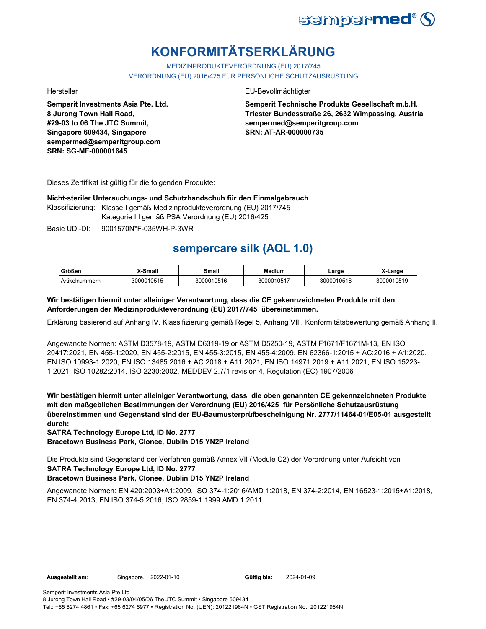

# **KONFORMITÄTSERKLÄRUNG**

MEDIZINPRODUKTEVERORDNUNG (EU) 2017/745 VERORDNUNG (EU) 2016/425 FÜR PERSÖNLICHE SCHUTZAUSRÜSTUNG

**Semperit Investments Asia Pte. Ltd. 8 Jurong Town Hall Road, #29-03 to 06 The JTC Summit, Singapore 609434, Singapore sempermed@semperitgroup.com SRN: SG-MF-000001645**

### Hersteller EU-Bevollmächtigter

**Semperit Technische Produkte Gesellschaft m.b.H. Triester Bundesstraße 26, 2632 Wimpassing, Austria sempermed@semperitgroup.com SRN: AT-AR-000000735**

Dieses Zertifikat ist gültig für die folgenden Produkte:

### **Nicht-steriler Untersuchungs- und Schutzhandschuh für den Einmalgebrauch**

Klassifizierung: Klasse I gemäß Medizinprodukteverordnung (EU) 2017/745 Kategorie III gemäß PSA Verordnung (EU) 2016/425

Basic UDI-DI: 9001570N\*F-035WH-P-3WR

## **sempercare silk (AQL 1.0)**

| Größen         | -Small     | Small      | <b>Medium</b> | Large      | .arge      |
|----------------|------------|------------|---------------|------------|------------|
| Artikelnummern | 3000010515 | 3000010516 | 3000010517    | 3000010518 | 3000010519 |

### **Wir bestätigen hiermit unter alleiniger Verantwortung, dass die CE gekennzeichneten Produkte mit den Anforderungen der Medizinprodukteverordnung (EU) 2017/745 übereinstimmen.**

Erklärung basierend auf Anhang IV. Klassifizierung gemäß Regel 5, Anhang VIII. Konformitätsbewertung gemäß Anhang II.

Angewandte Normen: ASTM D3578-19, ASTM D6319-19 or ASTM D5250-19, ASTM F1671/F1671M-13, EN ISO 20417:2021, EN 455-1:2020, EN 455-2:2015, EN 455-3:2015, EN 455-4:2009, EN 62366-1:2015 + AC:2016 + A1:2020, EN ISO 10993-1:2020, EN ISO 13485:2016 + AC:2018 + A11:2021, EN ISO 14971:2019 + A11:2021, EN ISO 15223- 1:2021, ISO 10282:2014, ISO 2230:2002, MEDDEV 2.7/1 revision 4, Regulation (EC) 1907/2006

**Wir bestätigen hiermit unter alleiniger Verantwortung, dass die oben genannten CE gekennzeichneten Produkte mit den maßgeblichen Bestimmungen der Verordnung (EU) 2016/425 für Persönliche Schutzausrüstung übereinstimmen und Gegenstand sind der EU-Baumusterprüfbescheinigung Nr. 2777/11464-01/E05-01 ausgestellt durch:**

### **SATRA Technology Europe Ltd, ID No. 2777**

**Bracetown Business Park, Clonee, Dublin D15 YN2P Ireland**

**SATRA Technology Europe Ltd, ID No. 2777** Die Produkte sind Gegenstand der Verfahren gemäß Annex VII (Module C2) der Verordnung unter Aufsicht von

### **Bracetown Business Park, Clonee, Dublin D15 YN2P Ireland**

Angewandte Normen: EN 420:2003+A1:2009, ISO 374-1:2016/AMD 1:2018, EN 374-2:2014, EN 16523-1:2015+A1:2018, EN 374-4:2013, EN ISO 374-5:2016, ISO 2859-1:1999 AMD 1:2011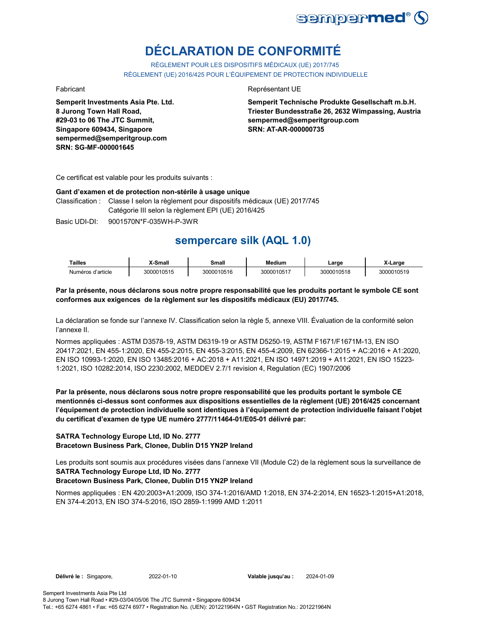

# **DÉCLARATION DE CONFORMITÉ**

RÈGLEMENT POUR LES DISPOSITIFS MÉDICAUX (UE) 2017/745 RÈGLEMENT (UE) 2016/425 POUR L'ÉQUIPEMENT DE PROTECTION INDIVIDUELLE

**Semperit Investments Asia Pte. Ltd. 8 Jurong Town Hall Road, #29-03 to 06 The JTC Summit, Singapore 609434, Singapore sempermed@semperitgroup.com SRN: SG-MF-000001645**

### Fabricant **Représentant UE**

**Semperit Technische Produkte Gesellschaft m.b.H. Triester Bundesstraße 26, 2632 Wimpassing, Austria sempermed@semperitgroup.com SRN: AT-AR-000000735**

Ce certificat est valable pour les produits suivants :

### **Gant d'examen et de protection non-stérile à usage unique**

Classification : Classe I selon la règlement pour dispositifs médicaux (UE) 2017/745 Catégorie III selon la règlement EPI (UE) 2016/425

Basic UDI-DI: 9001570N\*F-035WH-P-3WR

## **sempercare silk (AQL 1.0)**

| Tailles           | X-Small    | Small      | Medium     | ∟arge      | X-Large    |
|-------------------|------------|------------|------------|------------|------------|
| Numéros d'article | 3000010515 | 3000010516 | 3000010517 | 3000010518 | 3000010519 |

### **Par la présente, nous déclarons sous notre propre responsabilité que les produits portant le symbole CE sont conformes aux exigences de la règlement sur les dispositifs médicaux (EU) 2017/745.**

La déclaration se fonde sur l'annexe IV. Classification selon la règle 5, annexe VIII. Évaluation de la conformité selon l'annexe II.

Normes appliquées : ASTM D3578-19, ASTM D6319-19 or ASTM D5250-19, ASTM F1671/F1671M-13, EN ISO 20417:2021, EN 455-1:2020, EN 455-2:2015, EN 455-3:2015, EN 455-4:2009, EN 62366-1:2015 + AC:2016 + A1:2020, EN ISO 10993-1:2020, EN ISO 13485:2016 + AC:2018 + A11:2021, EN ISO 14971:2019 + A11:2021, EN ISO 15223- 1:2021, ISO 10282:2014, ISO 2230:2002, MEDDEV 2.7/1 revision 4, Regulation (EC) 1907/2006

**Par la présente, nous déclarons sous notre propre responsabilité que les produits portant le symbole CE mentionnés ci-dessus sont conformes aux dispositions essentielles de la règlement (UE) 2016/425 concernant l'équipement de protection individuelle sont identiques à l'équipement de protection individuelle faisant l'objet du certificat d'examen de type UE numéro 2777/11464-01/E05-01 délivré par:**

### **SATRA Technology Europe Ltd, ID No. 2777 Bracetown Business Park, Clonee, Dublin D15 YN2P Ireland**

**SATRA Technology Europe Ltd, ID No. 2777** Les produits sont soumis aux procédures visées dans l'annexe VII (Module C2) de la règlement sous la surveillance de

### **Bracetown Business Park, Clonee, Dublin D15 YN2P Ireland**

Normes appliquées : EN 420:2003+A1:2009, ISO 374-1:2016/AMD 1:2018, EN 374-2:2014, EN 16523-1:2015+A1:2018, EN 374-4:2013, EN ISO 374-5:2016, ISO 2859-1:1999 AMD 1:2011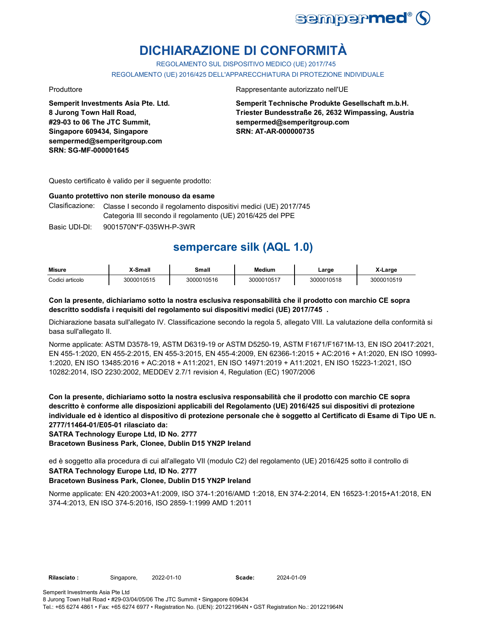

# **DICHIARAZIONE DI CONFORMITÀ**

REGOLAMENTO SUL DISPOSITIVO MEDICO (UE) 2017/745 REGOLAMENTO (UE) 2016/425 DELL'APPARECCHIATURA DI PROTEZIONE INDIVIDUALE

**Semperit Investments Asia Pte. Ltd. 8 Jurong Town Hall Road, #29-03 to 06 The JTC Summit, Singapore 609434, Singapore sempermed@semperitgroup.com SRN: SG-MF-000001645**

Produttore Rappresentante autorizzato nell'UE

**Semperit Technische Produkte Gesellschaft m.b.H. Triester Bundesstraße 26, 2632 Wimpassing, Austria sempermed@semperitgroup.com SRN: AT-AR-000000735**

Questo certificato è valido per il seguente prodotto:

### **Guanto protettivo non sterile monouso da esame**

Clasificazione: Classe I secondo il regolamento dispositivi medici (UE) 2017/745 Categoria III secondo il regolamento (UE) 2016/425 del PPE

Basic UDI-DI: 9001570N\*F-035WH-P-3WR 9001570N\*F-035WH-P-3W

## **sempercare silk (AQL 1.0)**

| <b>Misure</b>   | X-Small    | Small      | <b>Medium</b> | Large      | -Large     |
|-----------------|------------|------------|---------------|------------|------------|
| Codici articolo | 3000010515 | 3000010516 | 3000010517    | 3000010518 | 3000010519 |

### **Con la presente, dichiariamo sotto la nostra esclusiva responsabilità che il prodotto con marchio CE sopra descritto soddisfa i requisiti del regolamento sui dispositivi medici (UE) 2017/745 .**

Dichiarazione basata sull'allegato IV. Classificazione secondo la regola 5, allegato VIII. La valutazione della conformità si basa sull'allegato II.

Norme applicate: ASTM D3578-19, ASTM D6319-19 or ASTM D5250-19, ASTM F1671/F1671M-13, EN ISO 20417:2021, EN 455-1:2020, EN 455-2:2015, EN 455-3:2015, EN 455-4:2009, EN 62366-1:2015 + AC:2016 + A1:2020, EN ISO 10993- 1:2020, EN ISO 13485:2016 + AC:2018 + A11:2021, EN ISO 14971:2019 + A11:2021, EN ISO 15223-1:2021, ISO 10282:2014, ISO 2230:2002, MEDDEV 2.7/1 revision 4, Regulation (EC) 1907/2006

**Con la presente, dichiariamo sotto la nostra esclusiva responsabilità che il prodotto con marchio CE sopra descritto è conforme alle disposizioni applicabili del Regolamento (UE) 2016/425 sui dispositivi di protezione individuale ed è identico al dispositivo di protezione personale che è soggetto al Certificato di Esame di Tipo UE n. 2777/11464-01/E05-01 rilasciato da:**

### **SATRA Technology Europe Ltd, ID No. 2777**

**Bracetown Business Park, Clonee, Dublin D15 YN2P Ireland**

**SATRA Technology Europe Ltd, ID No. 2777** ed è soggetto alla procedura di cui all'allegato VII (modulo C2) del regolamento (UE) 2016/425 sotto il controllo di

### **Bracetown Business Park, Clonee, Dublin D15 YN2P Ireland**

Norme applicate: EN 420:2003+A1:2009, ISO 374-1:2016/AMD 1:2018, EN 374-2:2014, EN 16523-1:2015+A1:2018, EN 374-4:2013, EN ISO 374-5:2016, ISO 2859-1:1999 AMD 1:2011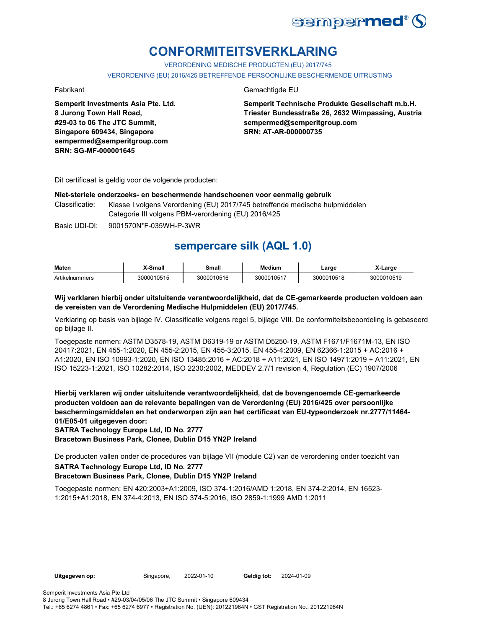

# **CONFORMITEITSVERKLARING**

VERORDENING MEDISCHE PRODUCTEN (EU) 2017/745

VERORDENING (EU) 2016/425 BETREFFENDE PERSOONLIJKE BESCHERMENDE UITRUSTING

**Semperit Investments Asia Pte. Ltd. 8 Jurong Town Hall Road, #29-03 to 06 The JTC Summit, Singapore 609434, Singapore sempermed@semperitgroup.com SRN: SG-MF-000001645**

### Fabrikant Gemachtigde EU

**Semperit Technische Produkte Gesellschaft m.b.H. Triester Bundesstraße 26, 2632 Wimpassing, Austria sempermed@semperitgroup.com SRN: AT-AR-000000735**

Dit certificaat is geldig voor de volgende producten:

### **Niet-steriele onderzoeks- en beschermende handschoenen voor eenmalig gebruik**

Classificatie: Klasse I volgens Verordening (EU) 2017/745 betreffende medische hulpmiddelen Categorie III volgens PBM-verordening (EU) 2016/425

Basic UDI-DI: 9001570N\*F-035WH-P-3WR

## **sempercare silk (AQL 1.0)**

| <b>Maten</b>   | X-Small    | Small      | <b>Medium</b> | Large      | X-Large    |
|----------------|------------|------------|---------------|------------|------------|
| Artikelnummers | 3000010515 | 3000010516 | 3000010517    | 3000010518 | 3000010519 |

**Wij verklaren hierbij onder uitsluitende verantwoordelijkheid, dat de CE-gemarkeerde producten voldoen aan de vereisten van de Verordening Medische Hulpmiddelen (EU) 2017/745.**

Verklaring op basis van bijlage IV. Classificatie volgens regel 5, bijlage VIII. De conformiteitsbeoordeling is gebaseerd op bijlage II.

Toegepaste normen: ASTM D3578-19, ASTM D6319-19 or ASTM D5250-19, ASTM F1671/F1671M-13, EN ISO 20417:2021, EN 455-1:2020, EN 455-2:2015, EN 455-3:2015, EN 455-4:2009, EN 62366-1:2015 + AC:2016 + A1:2020, EN ISO 10993-1:2020, EN ISO 13485:2016 + AC:2018 + A11:2021, EN ISO 14971:2019 + A11:2021, EN ISO 15223-1:2021, ISO 10282:2014, ISO 2230:2002, MEDDEV 2.7/1 revision 4, Regulation (EC) 1907/2006

**Hierbij verklaren wij onder uitsluitende verantwoordelijkheid, dat de bovengenoemde CE-gemarkeerde producten voldoen aan de relevante bepalingen van de Verordening (EU) 2016/425 over persoonlijke beschermingsmiddelen en het onderworpen zijn aan het certificaat van EU-typeonderzoek nr.2777/11464- 01/E05-01 uitgegeven door:**

**SATRA Technology Europe Ltd, ID No. 2777**

**Bracetown Business Park, Clonee, Dublin D15 YN2P Ireland**

De producten vallen onder de procedures van bijlage VII (module C2) van de verordening onder toezicht van

### **SATRA Technology Europe Ltd, ID No. 2777**

### **Bracetown Business Park, Clonee, Dublin D15 YN2P Ireland**

Toegepaste normen: EN 420:2003+A1:2009, ISO 374-1:2016/AMD 1:2018, EN 374-2:2014, EN 16523- 1:2015+A1:2018, EN 374-4:2013, EN ISO 374-5:2016, ISO 2859-1:1999 AMD 1:2011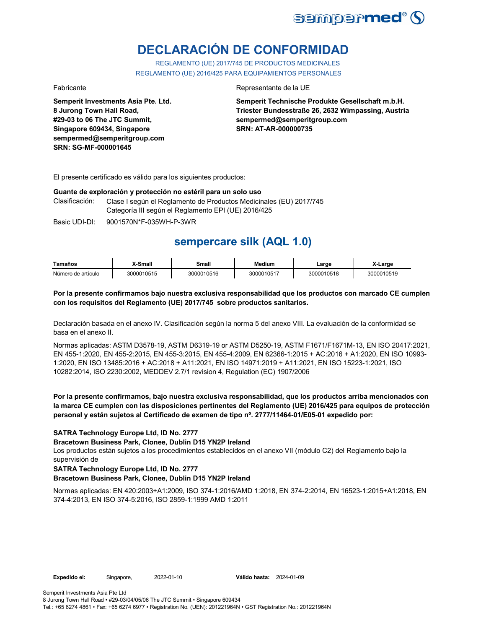

# **DECLARACIÓN DE CONFORMIDAD**

REGLAMENTO (UE) 2017/745 DE PRODUCTOS MEDICINALES REGLAMENTO (UE) 2016/425 PARA EQUIPAMIENTOS PERSONALES

**Semperit Investments Asia Pte. Ltd. 8 Jurong Town Hall Road, #29-03 to 06 The JTC Summit, Singapore 609434, Singapore sempermed@semperitgroup.com SRN: SG-MF-000001645**

### Fabricante Representante de la UE

**Semperit Technische Produkte Gesellschaft m.b.H. Triester Bundesstraße 26, 2632 Wimpassing, Austria sempermed@semperitgroup.com SRN: AT-AR-000000735**

El presente certificado es válido para los siguientes productos:

### **Guante de exploración y protección no estéril para un solo uso**

Clasificación: Clase I según el Reglamento de Productos Medicinales (EU) 2017/745 Categoría III según el Reglamento EPI (UE) 2016/425

Basic UDI-DI: 9001570N\*F-035WH-P-3WR

## **sempercare silk (AQL 1.0)**

| Tamaños            | X-Small    | Small      | Medium     | Large      | X-Large    |
|--------------------|------------|------------|------------|------------|------------|
| Número de artículo | 3000010515 | 3000010516 | 3000010517 | 3000010518 | 3000010519 |

### **Por la presente confirmamos bajo nuestra exclusiva responsabilidad que los productos con marcado CE cumplen con los requisitos del Reglamento (UE) 2017/745 sobre productos sanitarios.**

Declaración basada en el anexo IV. Clasificación según la norma 5 del anexo VIII. La evaluación de la conformidad se basa en el anexo II.

Normas aplicadas: ASTM D3578-19, ASTM D6319-19 or ASTM D5250-19, ASTM F1671/F1671M-13, EN ISO 20417:2021, EN 455-1:2020, EN 455-2:2015, EN 455-3:2015, EN 455-4:2009, EN 62366-1:2015 + AC:2016 + A1:2020, EN ISO 10993- 1:2020, EN ISO 13485:2016 + AC:2018 + A11:2021, EN ISO 14971:2019 + A11:2021, EN ISO 15223-1:2021, ISO 10282:2014, ISO 2230:2002, MEDDEV 2.7/1 revision 4, Regulation (EC) 1907/2006

**Por la presente confirmamos, bajo nuestra exclusiva responsabilidad, que los productos arriba mencionados con la marca CE cumplen con las disposiciones pertinentes del Reglamento (UE) 2016/425 para equipos de protección personal y están sujetos al Certificado de examen de tipo nº. 2777/11464-01/E05-01 expedido por:**

### **SATRA Technology Europe Ltd, ID No. 2777**

**Bracetown Business Park, Clonee, Dublin D15 YN2P Ireland**

Los productos están sujetos a los procedimientos establecidos en el anexo VII (módulo C2) del Reglamento bajo la supervisión de

### **SATRA Technology Europe Ltd, ID No. 2777 Bracetown Business Park, Clonee, Dublin D15 YN2P Ireland**

Normas aplicadas: EN 420:2003+A1:2009, ISO 374-1:2016/AMD 1:2018, EN 374-2:2014, EN 16523-1:2015+A1:2018, EN 374-4:2013, EN ISO 374-5:2016, ISO 2859-1:1999 AMD 1:2011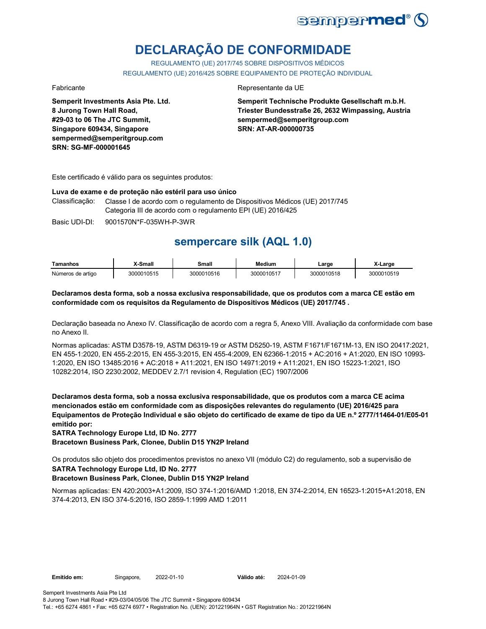

# **DECLARAÇÃO DE CONFORMIDADE**

REGULAMENTO (UE) 2017/745 SOBRE DISPOSITIVOS MÉDICOS REGULAMENTO (UE) 2016/425 SOBRE EQUIPAMENTO DE PROTEÇÃO INDIVIDUAL

**Semperit Investments Asia Pte. Ltd. 8 Jurong Town Hall Road, #29-03 to 06 The JTC Summit, Singapore 609434, Singapore sempermed@semperitgroup.com SRN: SG-MF-000001645**

### Fabricante da UE

**Semperit Technische Produkte Gesellschaft m.b.H. Triester Bundesstraße 26, 2632 Wimpassing, Austria sempermed@semperitgroup.com SRN: AT-AR-000000735**

Este certificado é válido para os seguintes produtos:

### **Luva de exame e de proteção não estéril para uso único**

Classificação: Classe I de acordo com o regulamento de Dispositivos Médicos (UE) 2017/745 Categoria III de acordo com o regulamento EPI (UE) 2016/425

Basic UDI-DI: 9001570N\*F-035WH-P-3WR

## **sempercare silk (AQL 1.0)**

| Tamanhos          | -Small     | Small      | <b>Medium</b> | ∟arge      | X-Large    |
|-------------------|------------|------------|---------------|------------|------------|
| Números de artigo | 3000010515 | 3000010516 | 3000010517    | 3000010518 | 3000010519 |

### **Declaramos desta forma, sob a nossa exclusiva responsabilidade, que os produtos com a marca CE estão em conformidade com os requisitos da Regulamento de Dispositivos Médicos (UE) 2017/745 .**

Declaração baseada no Anexo IV. Classificação de acordo com a regra 5, Anexo VIII. Avaliação da conformidade com base no Anexo II.

Normas aplicadas: ASTM D3578-19, ASTM D6319-19 or ASTM D5250-19, ASTM F1671/F1671M-13, EN ISO 20417:2021, EN 455-1:2020, EN 455-2:2015, EN 455-3:2015, EN 455-4:2009, EN 62366-1:2015 + AC:2016 + A1:2020, EN ISO 10993- 1:2020, EN ISO 13485:2016 + AC:2018 + A11:2021, EN ISO 14971:2019 + A11:2021, EN ISO 15223-1:2021, ISO 10282:2014, ISO 2230:2002, MEDDEV 2.7/1 revision 4, Regulation (EC) 1907/2006

**Declaramos desta forma, sob a nossa exclusiva responsabilidade, que os produtos com a marca CE acima mencionados estão em conformidade com as disposições relevantes do regulamento (UE) 2016/425 para Equipamentos de Proteção Individual e são objeto do certificado de exame de tipo da UE n.º 2777/11464-01/E05-01 emitido por:**

### **SATRA Technology Europe Ltd, ID No. 2777**

**Bracetown Business Park, Clonee, Dublin D15 YN2P Ireland**

**SATRA Technology Europe Ltd, ID No. 2777** Os produtos são objeto dos procedimentos previstos no anexo VII (módulo C2) do regulamento, sob a supervisão de

### **Bracetown Business Park, Clonee, Dublin D15 YN2P Ireland**

Normas aplicadas: EN 420:2003+A1:2009, ISO 374-1:2016/AMD 1:2018, EN 374-2:2014, EN 16523-1:2015+A1:2018, EN 374-4:2013, EN ISO 374-5:2016, ISO 2859-1:1999 AMD 1:2011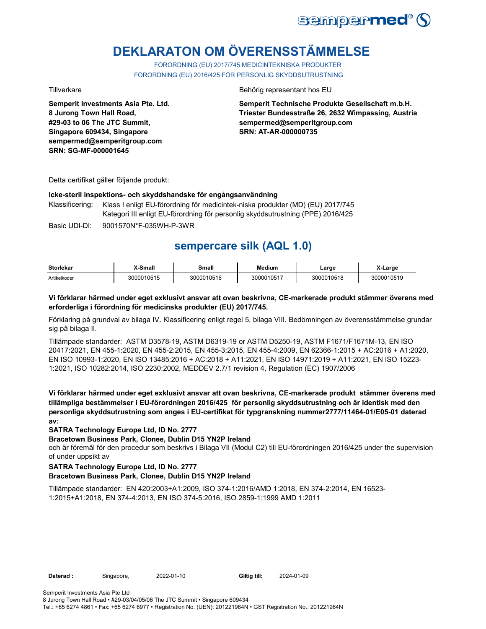

# **DEKLARATON OM ÖVERENSSTÄMMELSE**

FÖRORDNING (EU) 2017/745 MEDICINTEKNISKA PRODUKTER FÖRORDNING (EU) 2016/425 FÖR PERSONLIG SKYDDSUTRUSTNING

**Semperit Investments Asia Pte. Ltd. 8 Jurong Town Hall Road, #29-03 to 06 The JTC Summit, Singapore 609434, Singapore sempermed@semperitgroup.com SRN: SG-MF-000001645**

### Tillverkare **Behörig representant hos EU**

**Semperit Technische Produkte Gesellschaft m.b.H. Triester Bundesstraße 26, 2632 Wimpassing, Austria sempermed@semperitgroup.com SRN: AT-AR-000000735**

Detta certifikat gäller följande produkt:

### **Icke-steril inspektions- och skyddshandske för engångsanvändning**

Klassificering: Klass I enligt EU-förordning för medicintek-niska produkter (MD) (EU) 2017/745 Kategori III enligt EU-förordning för personlig skyddsutrustning (PPE) 2016/425

Basic UDI-DI: 9001570N\*F-035WH-P-3WR

## **sempercare silk (AQL 1.0)**

| <b>Storlekar</b> | -Small     | Small<br>_____ | <b>Medium</b> | Large      | X-Larɑe    |
|------------------|------------|----------------|---------------|------------|------------|
| Artikelkoder     | 3000010515 | 3000010516     | 3000010517    | 3000010518 | 3000010519 |

### **Vi förklarar härmed under eget exklusivt ansvar att ovan beskrivna, CE-markerade produkt stämmer överens med erforderliga i förordning för medicinska produkter (EU) 2017/745.**

Förklaring på grundval av bilaga IV. Klassificering enligt regel 5, bilaga VIII. Bedömningen av överensstämmelse grundar sig på bilaga II.

Tillämpade standarder: ASTM D3578-19, ASTM D6319-19 or ASTM D5250-19, ASTM F1671/F1671M-13, EN ISO 20417:2021, EN 455-1:2020, EN 455-2:2015, EN 455-3:2015, EN 455-4:2009, EN 62366-1:2015 + AC:2016 + A1:2020, EN ISO 10993-1:2020, EN ISO 13485:2016 + AC:2018 + A11:2021, EN ISO 14971:2019 + A11:2021, EN ISO 15223- 1:2021, ISO 10282:2014, ISO 2230:2002, MEDDEV 2.7/1 revision 4, Regulation (EC) 1907/2006

**Vi förklarar härmed under eget exklusivt ansvar att ovan beskrivna, CE-markerade produkt stämmer överens med tillämpliga bestämmelser i EU-förordningen 2016/425 för personlig skyddsutrustning och är identisk med den personliga skyddsutrustning som anges i EU-certifikat för typgranskning nummer2777/11464-01/E05-01 daterad av:**

**SATRA Technology Europe Ltd, ID No. 2777**

**Bracetown Business Park, Clonee, Dublin D15 YN2P Ireland**

och är föremål för den procedur som beskrivs i Bilaga VII (Modul C2) till EU-förordningen 2016/425 under the supervision of under uppsikt av

### **SATRA Technology Europe Ltd, ID No. 2777 Bracetown Business Park, Clonee, Dublin D15 YN2P Ireland**

Tillämpade standarder: EN 420:2003+A1:2009, ISO 374-1:2016/AMD 1:2018, EN 374-2:2014, EN 16523- 1:2015+A1:2018, EN 374-4:2013, EN ISO 374-5:2016, ISO 2859-1:1999 AMD 1:2011

**Daterad :** Singapore, 2022-01-10 **Giltig till:** 2024-01-09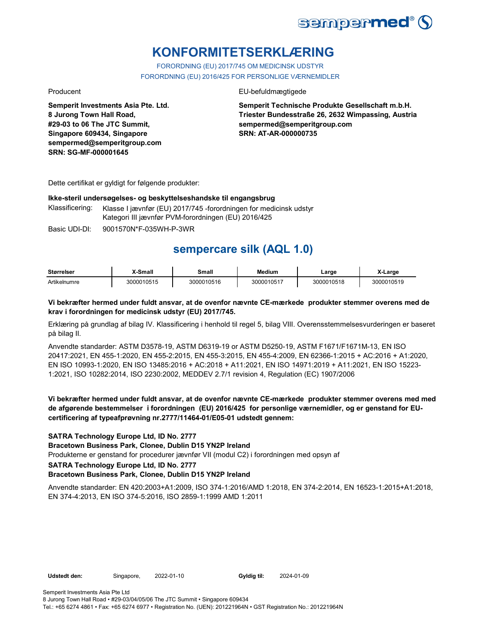

# **KONFORMITETSERKLÆRING**

FORORDNING (EU) 2017/745 OM MEDICINSK UDSTYR FORORDNING (EU) 2016/425 FOR PERSONLIGE VÆRNEMIDLER

**Semperit Investments Asia Pte. Ltd. 8 Jurong Town Hall Road, #29-03 to 06 The JTC Summit, Singapore 609434, Singapore sempermed@semperitgroup.com SRN: SG-MF-000001645**

### Producent **EU-befuldmægtigede**

**Semperit Technische Produkte Gesellschaft m.b.H. Triester Bundesstraße 26, 2632 Wimpassing, Austria sempermed@semperitgroup.com SRN: AT-AR-000000735**

Dette certifikat er gyldigt for følgende produkter:

### **Ikke-steril undersøgelses- og beskyttelseshandske til engangsbrug**

Klassificering: Klasse I jævnfør (EU) 2017/745 -forordningen for medicinsk udstyr Kategori III jævnfør PVM-forordningen (EU) 2016/425

Basic UDI-DI: 9001570N\*F-035WH-P-3WR

## **sempercare silk (AQL 1.0)**

| <b>Størrelser</b> | X-Small    | Small      | <b>Medium</b> | Large      | X-Large    |
|-------------------|------------|------------|---------------|------------|------------|
| Artikelnumre      | 3000010515 | 3000010516 | 3000010517    | 3000010518 | 3000010519 |

### **Vi bekræfter hermed under fuldt ansvar, at de ovenfor nævnte CE-mærkede produkter stemmer overens med de krav i forordningen for medicinsk udstyr (EU) 2017/745.**

Erklæring på grundlag af bilag IV. Klassificering i henhold til regel 5, bilag VIII. Overensstemmelsesvurderingen er baseret på bilag II.

Anvendte standarder: ASTM D3578-19, ASTM D6319-19 or ASTM D5250-19, ASTM F1671/F1671M-13, EN ISO 20417:2021, EN 455-1:2020, EN 455-2:2015, EN 455-3:2015, EN 455-4:2009, EN 62366-1:2015 + AC:2016 + A1:2020, EN ISO 10993-1:2020, EN ISO 13485:2016 + AC:2018 + A11:2021, EN ISO 14971:2019 + A11:2021, EN ISO 15223- 1:2021, ISO 10282:2014, ISO 2230:2002, MEDDEV 2.7/1 revision 4, Regulation (EC) 1907/2006

**Vi bekræfter hermed under fuldt ansvar, at de ovenfor nævnte CE-mærkede produkter stemmer overens med med de afgørende bestemmelser i forordningen (EU) 2016/425 for personlige værnemidler, og er genstand for EUcertificering af typeafprøvning nr.2777/11464-01/E05-01 udstedt gennem:**

### **SATRA Technology Europe Ltd, ID No. 2777**

### **Bracetown Business Park, Clonee, Dublin D15 YN2P Ireland**

Produkterne er genstand for procedurer jævnfør VII (modul C2) i forordningen med opsyn af

**SATRA Technology Europe Ltd, ID No. 2777**

### **Bracetown Business Park, Clonee, Dublin D15 YN2P Ireland**

Anvendte standarder: EN 420:2003+A1:2009, ISO 374-1:2016/AMD 1:2018, EN 374-2:2014, EN 16523-1:2015+A1:2018, EN 374-4:2013, EN ISO 374-5:2016, ISO 2859-1:1999 AMD 1:2011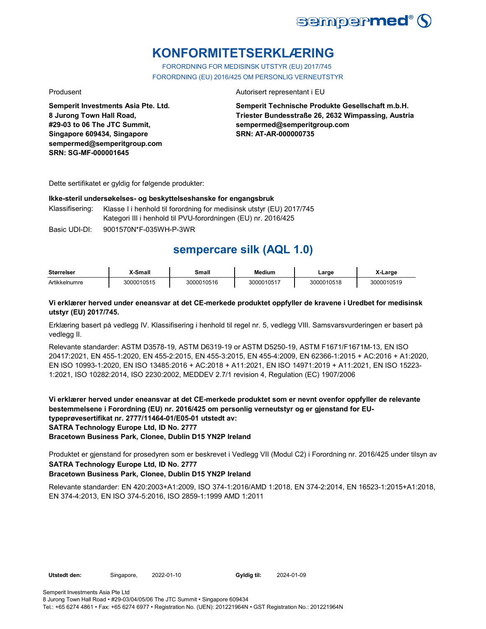

# **KONFORMITETSERKLÆRING**

FORORDNING FOR MEDISINSK UTSTYR (EU) 2017/745 FORORDNING (EU) 2016/425 OM PERSONLIG VERNEUTSTYR

**Semperit Investments Asia Pte. Ltd. 8 Jurong Town Hall Road, #29-03 to 06 The JTC Summit, Singapore 609434, Singapore sempermed@semperitgroup.com SRN: SG-MF-000001645**

### Produsent **Autorisert representant i EU**

**Semperit Technische Produkte Gesellschaft m.b.H. Triester Bundesstraße 26, 2632 Wimpassing, Austria sempermed@semperitgroup.com SRN: AT-AR-000000735**

Dette sertifikatet er gyldig for følgende produkter:

### **Ikke-steril undersøkelses- og beskyttelseshanske for engangsbruk**

Klassifisering: Klasse I i henhold til forordning for medisinsk utstyr (EU) 2017/745 Kategori III i henhold til PVU-forordningen (EU) nr. 2016/425

Basic UDI-DI: 9001570N\*F-035WH-P-3WR

## **sempercare silk (AQL 1.0)**

| <b>Størrelser</b> | X-Small    | Small      | <b>Medium</b> | ∟arge      | X-Large    |
|-------------------|------------|------------|---------------|------------|------------|
| Artikkelnumre     | 3000010515 | 3000010516 | 3000010517    | 3000010518 | 3000010519 |

### **Vi erklærer herved under eneansvar at det CE-merkede produktet oppfyller de kravene i Uredbet for medisinsk utstyr (EU) 2017/745.**

Erklæring basert på vedlegg IV. Klassifisering i henhold til regel nr. 5, vedlegg VIII. Samsvarsvurderingen er basert på vedlegg II.

Relevante standarder: ASTM D3578-19, ASTM D6319-19 or ASTM D5250-19, ASTM F1671/F1671M-13, EN ISO 20417:2021, EN 455-1:2020, EN 455-2:2015, EN 455-3:2015, EN 455-4:2009, EN 62366-1:2015 + AC:2016 + A1:2020, EN ISO 10993-1:2020, EN ISO 13485:2016 + AC:2018 + A11:2021, EN ISO 14971:2019 + A11:2021, EN ISO 15223- 1:2021, ISO 10282:2014, ISO 2230:2002, MEDDEV 2.7/1 revision 4, Regulation (EC) 1907/2006

**Vi erklærer herved under eneansvar at det CE-merkede produktet som er nevnt ovenfor oppfyller de relevante bestemmelsene i Forordning (EU) nr. 2016/425 om personlig verneutstyr og er gjenstand for EUtypeprøvesertifikat nr. 2777/11464-01/E05-01 utstedt av: SATRA Technology Europe Ltd, ID No. 2777 Bracetown Business Park, Clonee, Dublin D15 YN2P Ireland**

**SATRA Technology Europe Ltd, ID No. 2777** Produktet er gjenstand for prosedyren som er beskrevet i Vedlegg VII (Modul C2) i Forordning nr. 2016/425 under tilsyn av

### **Bracetown Business Park, Clonee, Dublin D15 YN2P Ireland**

Relevante standarder: EN 420:2003+A1:2009, ISO 374-1:2016/AMD 1:2018, EN 374-2:2014, EN 16523-1:2015+A1:2018, EN 374-4:2013, EN ISO 374-5:2016, ISO 2859-1:1999 AMD 1:2011

**Utstedt den:** Singapore, 2022-01-10 **Gyldig til:** 2024-01-09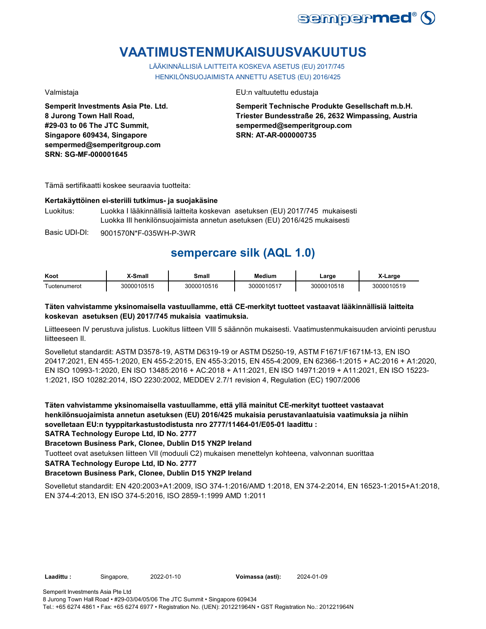

# **VAATIMUSTENMUKAISUUSVAKUUTUS**

LÄÄKINNÄLLISIÄ LAITTEITA KOSKEVA ASETUS (EU) 2017/745 HENKILÖNSUOJAIMISTA ANNETTU ASETUS (EU) 2016/425

**Semperit Investments Asia Pte. Ltd. 8 Jurong Town Hall Road, #29-03 to 06 The JTC Summit, Singapore 609434, Singapore sempermed@semperitgroup.com SRN: SG-MF-000001645**

Valmistaja EU:n valtuutettu edustaja

**Semperit Technische Produkte Gesellschaft m.b.H. Triester Bundesstraße 26, 2632 Wimpassing, Austria sempermed@semperitgroup.com SRN: AT-AR-000000735**

Tämä sertifikaatti koskee seuraavia tuotteita:

### **Kertakäyttöinen ei-steriili tutkimus- ja suojakäsine**

Luokitus: Luokka I lääkinnällisiä laitteita koskevan asetuksen (EU) 2017/745 mukaisesti Luokka III henkilönsuojaimista annetun asetuksen (EU) 2016/425 mukaisesti

Basic UDI-DI: 9001570N\*F-035WH-P-3WR

# **sempercare silk (AQL 1.0)**

| Koot         | Smali      | Small      | Medium     | ∟arge      | X-Large    |
|--------------|------------|------------|------------|------------|------------|
| Tuotenumerot | 3000010515 | 3000010516 | 3000010517 | 3000010518 | 3000010519 |

### **Täten vahvistamme yksinomaisella vastuullamme, että CE-merkityt tuotteet vastaavat lääkinnällisiä laitteita koskevan asetuksen (EU) 2017/745 mukaisia vaatimuksia.**

Liitteeseen IV perustuva julistus. Luokitus liitteen VIII 5 säännön mukaisesti. Vaatimustenmukaisuuden arviointi perustuu liitteeseen II.

Sovelletut standardit: ASTM D3578-19, ASTM D6319-19 or ASTM D5250-19, ASTM F1671/F1671M-13, EN ISO 20417:2021, EN 455-1:2020, EN 455-2:2015, EN 455-3:2015, EN 455-4:2009, EN 62366-1:2015 + AC:2016 + A1:2020, EN ISO 10993-1:2020, EN ISO 13485:2016 + AC:2018 + A11:2021, EN ISO 14971:2019 + A11:2021, EN ISO 15223- 1:2021, ISO 10282:2014, ISO 2230:2002, MEDDEV 2.7/1 revision 4, Regulation (EC) 1907/2006

**Täten vahvistamme yksinomaisella vastuullamme, että yllä mainitut CE-merkityt tuotteet vastaavat henkilönsuojaimista annetun asetuksen (EU) 2016/425 mukaisia perustavanlaatuisia vaatimuksia ja niihin sovelletaan EU:n tyyppitarkastustodistusta nro 2777/11464-01/E05-01 laadittu : SATRA Technology Europe Ltd, ID No. 2777**

**Bracetown Business Park, Clonee, Dublin D15 YN2P Ireland**

Tuotteet ovat asetuksen liitteen VII (moduuli C2) mukaisen menettelyn kohteena, valvonnan suorittaa

**SATRA Technology Europe Ltd, ID No. 2777**

### **Bracetown Business Park, Clonee, Dublin D15 YN2P Ireland**

Sovelletut standardit: EN 420:2003+A1:2009, ISO 374-1:2016/AMD 1:2018, EN 374-2:2014, EN 16523-1:2015+A1:2018, EN 374-4:2013, EN ISO 374-5:2016, ISO 2859-1:1999 AMD 1:2011

**Laadittu :** Singapore, 2022-01-10 **Voimassa (asti):** 2024-01-09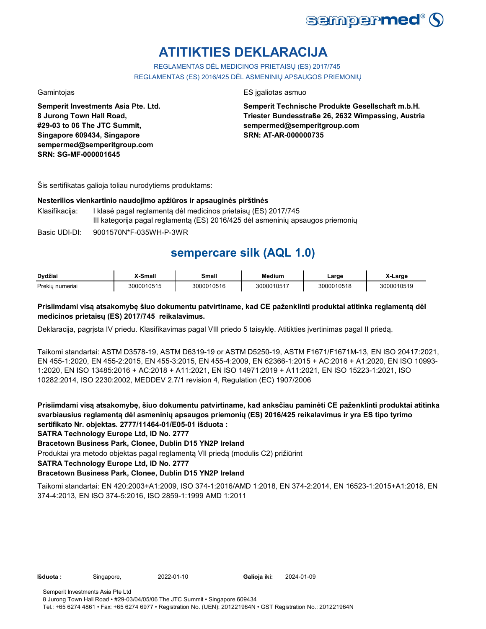

# **ATITIKTIES DEKLARACIJA**

REGLAMENTAS DĖL MEDICINOS PRIETAISŲ (ES) 2017/745 REGLAMENTAS (ES) 2016/425 DĖL ASMENINIŲ APSAUGOS PRIEMONIŲ

**Semperit Investments Asia Pte. Ltd. 8 Jurong Town Hall Road, #29-03 to 06 The JTC Summit, Singapore 609434, Singapore sempermed@semperitgroup.com SRN: SG-MF-000001645**

### Gamintojas **ES interviewes** ES ja aliotas asmuo

**Semperit Technische Produkte Gesellschaft m.b.H. Triester Bundesstraße 26, 2632 Wimpassing, Austria sempermed@semperitgroup.com SRN: AT-AR-000000735**

Šis sertifikatas galioja toliau nurodytiems produktams:

### **Nesterilios vienkartinio naudojimo apžiūros ir apsauginės pirštinės**

Klasifikacija: I klasė pagal reglamentą dėl medicinos prietaisų (ES) 2017/745 III kategorija pagal reglamentą (ES) 2016/425 dėl asmeninių apsaugos priemonių

Basic UDI-DI: 9001570N\*F-035WH-P-3WR

# **sempercare silk (AQL 1.0)**

| Dvdžiai         | X-Small    | Small      | Medium     | ∟arge      | X-Large    |
|-----------------|------------|------------|------------|------------|------------|
| Prekiu numeriai | 3000010515 | 3000010516 | 3000010517 | 3000010518 | 3000010519 |

### **Prisiimdami visą atsakomybę šiuo dokumentu patvirtiname, kad CE paženklinti produktai atitinka reglamentą dėl medicinos prietaisų (ES) 2017/745 reikalavimus.**

Deklaracija, pagrįsta IV priedu. Klasifikavimas pagal VIII priedo 5 taisyklę. Atitikties įvertinimas pagal II priedą.

Taikomi standartai: ASTM D3578-19, ASTM D6319-19 or ASTM D5250-19, ASTM F1671/F1671M-13, EN ISO 20417:2021, EN 455-1:2020, EN 455-2:2015, EN 455-3:2015, EN 455-4:2009, EN 62366-1:2015 + AC:2016 + A1:2020, EN ISO 10993- 1:2020, EN ISO 13485:2016 + AC:2018 + A11:2021, EN ISO 14971:2019 + A11:2021, EN ISO 15223-1:2021, ISO 10282:2014, ISO 2230:2002, MEDDEV 2.7/1 revision 4, Regulation (EC) 1907/2006

**Prisiimdami visą atsakomybę, šiuo dokumentu patvirtiname, kad anksčiau paminėti CE paženklinti produktai atitinka svarbiausius reglamentą dėl asmeninių apsaugos priemonių (ES) 2016/425 reikalavimus ir yra ES tipo tyrimo sertifikato Nr. objektas. 2777/11464-01/E05-01 išduota :**

**SATRA Technology Europe Ltd, ID No. 2777**

### **Bracetown Business Park, Clonee, Dublin D15 YN2P Ireland**

Produktai yra metodo objektas pagal reglamentą VII priedą (modulis C2) prižiūrint

**SATRA Technology Europe Ltd, ID No. 2777**

### **Bracetown Business Park, Clonee, Dublin D15 YN2P Ireland**

Taikomi standartai: EN 420:2003+A1:2009, ISO 374-1:2016/AMD 1:2018, EN 374-2:2014, EN 16523-1:2015+A1:2018, EN 374-4:2013, EN ISO 374-5:2016, ISO 2859-1:1999 AMD 1:2011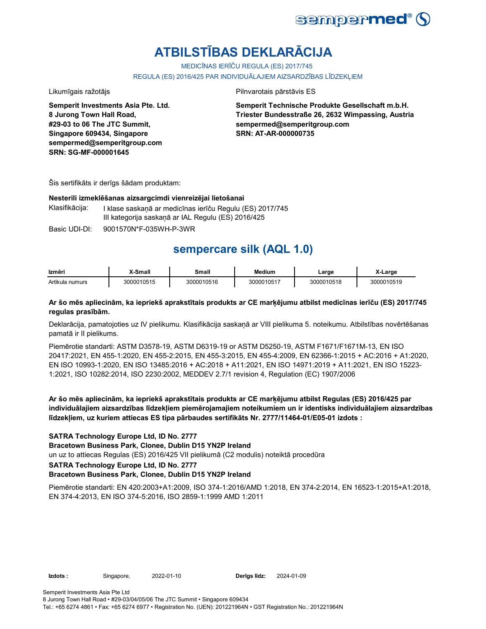

# **ATBILSTĪBAS DEKLARĀCIJA**

MEDICĪNAS IERĪČU REGULA (ES) 2017/745

REGULA (ES) 2016/425 PAR INDIVIDUĀLAJIEM AIZSARDZĪBAS LĪDZEKĻIEM

**Semperit Investments Asia Pte. Ltd. 8 Jurong Town Hall Road, #29-03 to 06 The JTC Summit, Singapore 609434, Singapore sempermed@semperitgroup.com SRN: SG-MF-000001645**

### Likumīgais ražotājs **Pilnvarotais pārstāvis ES**

**Semperit Technische Produkte Gesellschaft m.b.H. Triester Bundesstraße 26, 2632 Wimpassing, Austria sempermed@semperitgroup.com SRN: AT-AR-000000735**

Šis sertifikāts ir derīgs šādam produktam:

### **Nesterili izmeklēšanas aizsargcimdi vienreizējai lietošanai**

Klasifikācija: I klase saskaņā ar medicīnas ierīču Regulu (ES) 2017/745 III kategorija saskaņā ar IAL Regulu (ES) 2016/425

Basic UDI-DI: 9001570N\*F-035WH-P-3WR

## **sempercare silk (AQL 1.0)**

| Izmēri          | X-Small    | Small      | <b>Medium</b> | Large      | X-Large    |
|-----------------|------------|------------|---------------|------------|------------|
| Artikula numurs | 3000010515 | 3000010516 | 3000010517    | 3000010518 | 3000010519 |

### **Ar šo mēs apliecinām, ka iepriekš aprakstītais produkts ar CE marķējumu atbilst medicīnas ierīču (ES) 2017/745 regulas prasībām.**

Deklarācija, pamatojoties uz IV pielikumu. Klasifikācija saskaņā ar VIII pielikuma 5. noteikumu. Atbilstības novērtēšanas pamatā ir II pielikums.

Piemērotie standarti: ASTM D3578-19, ASTM D6319-19 or ASTM D5250-19, ASTM F1671/F1671M-13, EN ISO 20417:2021, EN 455-1:2020, EN 455-2:2015, EN 455-3:2015, EN 455-4:2009, EN 62366-1:2015 + AC:2016 + A1:2020, EN ISO 10993-1:2020, EN ISO 13485:2016 + AC:2018 + A11:2021, EN ISO 14971:2019 + A11:2021, EN ISO 15223- 1:2021, ISO 10282:2014, ISO 2230:2002, MEDDEV 2.7/1 revision 4, Regulation (EC) 1907/2006

**Ar šo mēs apliecinām, ka iepriekš aprakstītais produkts ar CE marķējumu atbilst Regulas (ES) 2016/425 par individuālajiem aizsardzības līdzekļiem piemērojamajiem noteikumiem un ir identisks individuālajiem aizsardzības līdzekļiem, uz kuriem attiecas ES tipa pārbaudes sertifikāts Nr. 2777/11464-01/E05-01 izdots :**

### **SATRA Technology Europe Ltd, ID No. 2777**

### **Bracetown Business Park, Clonee, Dublin D15 YN2P Ireland**

un uz to attiecas Regulas (ES) 2016/425 VII pielikumā (C2 modulis) noteiktā procedūra

**SATRA Technology Europe Ltd, ID No. 2777**

### **Bracetown Business Park, Clonee, Dublin D15 YN2P Ireland**

Piemērotie standarti: EN 420:2003+A1:2009, ISO 374-1:2016/AMD 1:2018, EN 374-2:2014, EN 16523-1:2015+A1:2018, EN 374-4:2013, EN ISO 374-5:2016, ISO 2859-1:1999 AMD 1:2011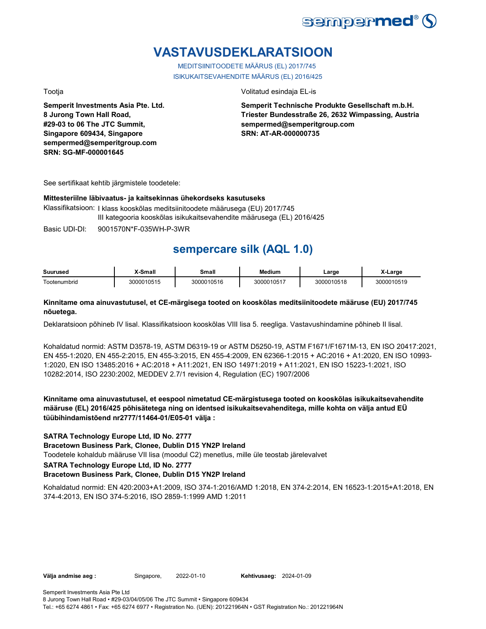

# **VASTAVUSDEKLARATSIOON**

MEDITSIINITOODETE MÄÄRUS (EL) 2017/745 ISIKUKAITSEVAHENDITE MÄÄRUS (EL) 2016/425

**Semperit Investments Asia Pte. Ltd. 8 Jurong Town Hall Road, #29-03 to 06 The JTC Summit, Singapore 609434, Singapore sempermed@semperitgroup.com SRN: SG-MF-000001645**

### Tootja Volitatud esindaja EL-is

**Semperit Technische Produkte Gesellschaft m.b.H. Triester Bundesstraße 26, 2632 Wimpassing, Austria sempermed@semperitgroup.com SRN: AT-AR-000000735**

See sertifikaat kehtib järgmistele toodetele:

### **Mittesteriilne läbivaatus- ja kaitsekinnas ühekordseks kasutuseks**

Klassifikatsioon: I klass kooskõlas meditsiinitoodete määrusega (EU) 2017/745 III kategooria kooskõlas isikukaitsevahendite määrusega (EL) 2016/425

Basic UDI-DI: 9001570N\*F-035WH-P-3WR

# **sempercare silk (AQL 1.0)**

| Suurused     | X-Small   | Small      | <b>Medium</b> | _arge      | Y-Large    |
|--------------|-----------|------------|---------------|------------|------------|
| Tootenumbrid | 000010515 | 3000010516 | 3000010517    | 3000010518 | 3000010519 |

### **Kinnitame oma ainuvastutusel, et CE-märgisega tooted on kooskõlas meditsiinitoodete määruse (EU) 2017/745 nõuetega.**

Deklaratsioon põhineb IV lisal. Klassifikatsioon kooskõlas VIII lisa 5. reegliga. Vastavushindamine põhineb II lisal.

Kohaldatud normid: ASTM D3578-19, ASTM D6319-19 or ASTM D5250-19, ASTM F1671/F1671M-13, EN ISO 20417:2021, EN 455-1:2020, EN 455-2:2015, EN 455-3:2015, EN 455-4:2009, EN 62366-1:2015 + AC:2016 + A1:2020, EN ISO 10993- 1:2020, EN ISO 13485:2016 + AC:2018 + A11:2021, EN ISO 14971:2019 + A11:2021, EN ISO 15223-1:2021, ISO 10282:2014, ISO 2230:2002, MEDDEV 2.7/1 revision 4, Regulation (EC) 1907/2006

**Kinnitame oma ainuvastutusel, et eespool nimetatud CE-märgistusega tooted on kooskõlas isikukaitsevahendite määruse (EL) 2016/425 põhisätetega ning on identsed isikukaitsevahenditega, mille kohta on välja antud EÜ tüübihindamistõend nr2777/11464-01/E05-01 välja :**

### **SATRA Technology Europe Ltd, ID No. 2777**

**Bracetown Business Park, Clonee, Dublin D15 YN2P Ireland**

Toodetele kohaldub määruse VII lisa (moodul C2) menetlus, mille üle teostab järelevalvet

**SATRA Technology Europe Ltd, ID No. 2777**

### **Bracetown Business Park, Clonee, Dublin D15 YN2P Ireland**

Kohaldatud normid: EN 420:2003+A1:2009, ISO 374-1:2016/AMD 1:2018, EN 374-2:2014, EN 16523-1:2015+A1:2018, EN 374-4:2013, EN ISO 374-5:2016, ISO 2859-1:1999 AMD 1:2011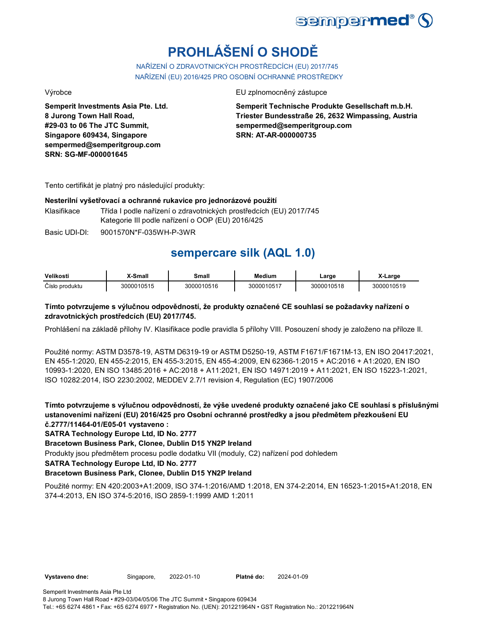

# **PROHLÁŠENÍ O SHODĚ**

NAŘÍZENÍ O ZDRAVOTNICKÝCH PROSTŘEDCÍCH (EU) 2017/745 NAŘÍZENÍ (EU) 2016/425 PRO OSOBNÍ OCHRANNÉ PROSTŘEDKY

**Semperit Investments Asia Pte. Ltd. 8 Jurong Town Hall Road, #29-03 to 06 The JTC Summit, Singapore 609434, Singapore sempermed@semperitgroup.com SRN: SG-MF-000001645**

### Výrobce EU zplnomocněný zástupce EU zplnomocněný zástupce

**Semperit Technische Produkte Gesellschaft m.b.H. Triester Bundesstraße 26, 2632 Wimpassing, Austria sempermed@semperitgroup.com SRN: AT-AR-000000735**

Tento certifikát je platný pro následující produkty:

### **Nesterilní vyšetřovací a ochranné rukavice pro jednorázové použití**

Klasifikace Třída I podle nařízení o zdravotnických prostředcích (EU) 2017/745 Kategorie III podle nařízení o OOP (EU) 2016/425

Basic UDI-DI: 9001570N\*F-035WH-P-3WR

# **sempercare silk (AQL 1.0)**

| Velikosti      | <b>Y-Smal</b> ı | Small      | <b>Medium</b> | ∟arge      | X-Large    |
|----------------|-----------------|------------|---------------|------------|------------|
| Číslo produktu | 3000010515      | 3000010516 | 3000010517    | 3000010518 | 3000010519 |

### **Tímto potvrzujeme s výlučnou odpovědností, že produkty označené CE souhlasí se požadavky nařízení o zdravotnických prostředcích (EU) 2017/745.**

Prohlášení na základě přílohy IV. Klasifikace podle pravidla 5 přílohy VIII. Posouzení shody je založeno na příloze II.

Použité normy: ASTM D3578-19, ASTM D6319-19 or ASTM D5250-19, ASTM F1671/F1671M-13, EN ISO 20417:2021, EN 455-1:2020, EN 455-2:2015, EN 455-3:2015, EN 455-4:2009, EN 62366-1:2015 + AC:2016 + A1:2020, EN ISO 10993-1:2020, EN ISO 13485:2016 + AC:2018 + A11:2021, EN ISO 14971:2019 + A11:2021, EN ISO 15223-1:2021, ISO 10282:2014, ISO 2230:2002, MEDDEV 2.7/1 revision 4, Regulation (EC) 1907/2006

**Tímto potvrzujeme s výlučnou odpovědností, že výše uvedené produkty označené jako CE souhlasí s příslušnými ustanoveními nařízení (EU) 2016/425 pro Osobní ochranné prostředky a jsou předmětem přezkoušení EU č.2777/11464-01/E05-01 vystaveno :**

**SATRA Technology Europe Ltd, ID No. 2777**

### **Bracetown Business Park, Clonee, Dublin D15 YN2P Ireland**

Produkty jsou předmětem procesu podle dodatku VII (moduly, C2) nařízení pod dohledem

**SATRA Technology Europe Ltd, ID No. 2777**

### **Bracetown Business Park, Clonee, Dublin D15 YN2P Ireland**

Použité normy: EN 420:2003+A1:2009, ISO 374-1:2016/AMD 1:2018, EN 374-2:2014, EN 16523-1:2015+A1:2018, EN 374-4:2013, EN ISO 374-5:2016, ISO 2859-1:1999 AMD 1:2011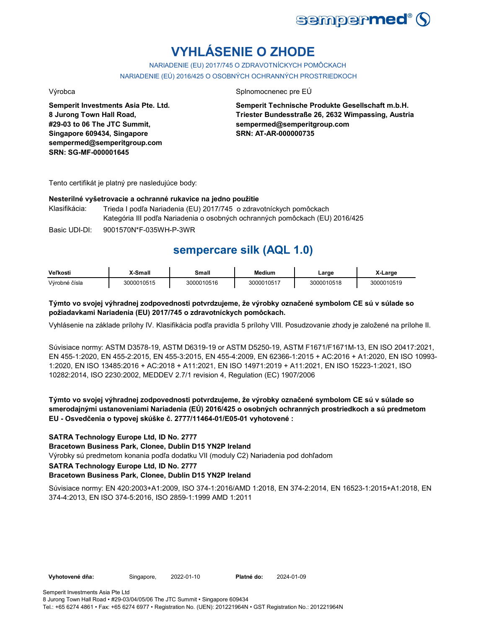

# **VYHLÁSENIE O ZHODE**

NARIADENIE (EU) 2017/745 O ZDRAVOTNÍCKYCH POMÔCKACH NARIADENIE (EÚ) 2016/425 O OSOBNÝCH OCHRANNÝCH PROSTRIEDKOCH

**Semperit Investments Asia Pte. Ltd. 8 Jurong Town Hall Road, #29-03 to 06 The JTC Summit, Singapore 609434, Singapore sempermed@semperitgroup.com SRN: SG-MF-000001645**

### Výrobca Splnomocnenec pre EÚ

**Semperit Technische Produkte Gesellschaft m.b.H. Triester Bundesstraße 26, 2632 Wimpassing, Austria sempermed@semperitgroup.com SRN: AT-AR-000000735**

Tento certifikát je platný pre nasledujúce body:

### **Nesterilné vyšetrovacie a ochranné rukavice na jedno použitie**

Klasifikácia: Trieda I podľa Nariadenia (EU) 2017/745 o zdravotníckych pomôckach Kategória III podľa Nariadenia o osobných ochranných pomôckach (EU) 2016/425

Basic UDI-DI: 9001570N\*F-035WH-P-3WR

## **sempercare silk (AQL 1.0)**

| Veľkosti      | X-Small    | Small      | <b>Medium</b> | Large      | X-Large    |
|---------------|------------|------------|---------------|------------|------------|
| Výrobné čísla | 3000010515 | 3000010516 | 3000010517    | 3000010518 | 3000010519 |

### **Týmto vo svojej výhradnej zodpovednosti potvrdzujeme, že výrobky označené symbolom CE sú v súlade so požiadavkami Nariadenia (EU) 2017/745 o zdravotníckych pomôckach.**

Vyhlásenie na základe prílohy IV. Klasifikácia podľa pravidla 5 prílohy VIII. Posudzovanie zhody je založené na prílohe II.

Súvisiace normy: ASTM D3578-19, ASTM D6319-19 or ASTM D5250-19, ASTM F1671/F1671M-13, EN ISO 20417:2021, EN 455-1:2020, EN 455-2:2015, EN 455-3:2015, EN 455-4:2009, EN 62366-1:2015 + AC:2016 + A1:2020, EN ISO 10993- 1:2020, EN ISO 13485:2016 + AC:2018 + A11:2021, EN ISO 14971:2019 + A11:2021, EN ISO 15223-1:2021, ISO 10282:2014, ISO 2230:2002, MEDDEV 2.7/1 revision 4, Regulation (EC) 1907/2006

**Týmto vo svojej výhradnej zodpovednosti potvrdzujeme, že výrobky označené symbolom CE sú v súlade so smerodajnými ustanoveniami Nariadenia (EÚ) 2016/425 o osobných ochranných prostriedkoch a sú predmetom EU - Osvedčenia o typovej skúške č. 2777/11464-01/E05-01 vyhotovené :**

### **SATRA Technology Europe Ltd, ID No. 2777**

### **Bracetown Business Park, Clonee, Dublin D15 YN2P Ireland**

Výrobky sú predmetom konania podľa dodatku VII (moduly C2) Nariadenia pod dohľadom

### **SATRA Technology Europe Ltd, ID No. 2777**

### **Bracetown Business Park, Clonee, Dublin D15 YN2P Ireland**

Súvisiace normy: EN 420:2003+A1:2009, ISO 374-1:2016/AMD 1:2018, EN 374-2:2014, EN 16523-1:2015+A1:2018, EN 374-4:2013, EN ISO 374-5:2016, ISO 2859-1:1999 AMD 1:2011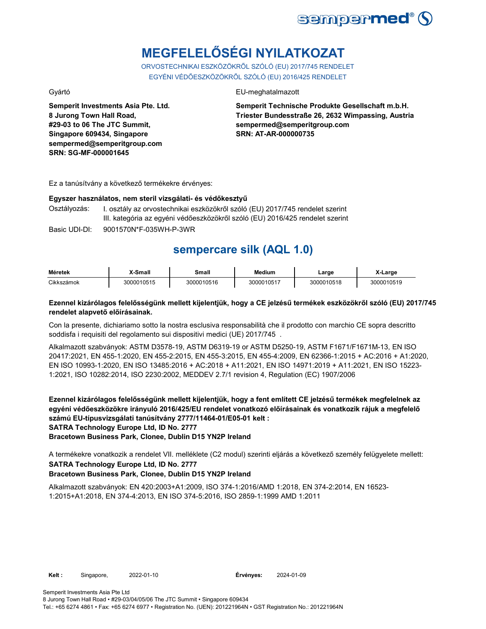

# **MEGFELELŐSÉGI NYILATKOZAT**

ORVOSTECHNIKAI ESZKÖZÖKRŐL SZÓLÓ (EU) 2017/745 RENDELET EGYÉNI VÉDŐESZKÖZÖKRŐL SZÓLÓ (EU) 2016/425 RENDELET

**Semperit Investments Asia Pte. Ltd. 8 Jurong Town Hall Road, #29-03 to 06 The JTC Summit, Singapore 609434, Singapore sempermed@semperitgroup.com SRN: SG-MF-000001645**

### Gyártó EU-meghatalmazott

**Semperit Technische Produkte Gesellschaft m.b.H. Triester Bundesstraße 26, 2632 Wimpassing, Austria sempermed@semperitgroup.com SRN: AT-AR-000000735**

Ez a tanúsítvány a következő termékekre érvényes:

### **Egyszer használatos, nem steril vizsgálati- és védőkesztyű**

Osztályozás: I. osztály az orvostechnikai eszközökről szóló (EU) 2017/745 rendelet szerint III. kategória az egyéni védőeszközökről szóló (EU) 2016/425 rendelet szerint

Basic UDI-DI: 9001570N\*F-035WH-P-3WR

# **sempercare silk (AQL 1.0)**

| Méretek    | X-Small    | Small      | <b>Medium</b> | Large      | X-Large    |
|------------|------------|------------|---------------|------------|------------|
| Cikkszámok | 3000010515 | 3000010516 | 3000010517    | 3000010518 | 3000010519 |

### **Ezennel kizárólagos felelősségünk mellett kijelentjük, hogy a CE jelzésű termékek eszközökről szóló (EU) 2017/745 rendelet alapvető előírásainak.**

Con la presente, dichiariamo sotto la nostra esclusiva responsabilità che il prodotto con marchio CE sopra descritto soddisfa i requisiti del regolamento sui dispositivi medici (UE) 2017/745 .

Alkalmazott szabványok: ASTM D3578-19, ASTM D6319-19 or ASTM D5250-19, ASTM F1671/F1671M-13, EN ISO 20417:2021, EN 455-1:2020, EN 455-2:2015, EN 455-3:2015, EN 455-4:2009, EN 62366-1:2015 + AC:2016 + A1:2020, EN ISO 10993-1:2020, EN ISO 13485:2016 + AC:2018 + A11:2021, EN ISO 14971:2019 + A11:2021, EN ISO 15223- 1:2021, ISO 10282:2014, ISO 2230:2002, MEDDEV 2.7/1 revision 4, Regulation (EC) 1907/2006

**Ezennel kizárólagos felelősségünk mellett kijelentjük, hogy a fent említett CE jelzésű termékek megfelelnek az egyéni védőeszközökre irányuló 2016/425/EU rendelet vonatkozó előírásainak és vonatkozik rájuk a megfelelő számú EU-típusvizsgálati tanúsítvány 2777/11464-01/E05-01 kelt : SATRA Technology Europe Ltd, ID No. 2777 Bracetown Business Park, Clonee, Dublin D15 YN2P Ireland**

**SATRA Technology Europe Ltd, ID No. 2777** A termékekre vonatkozik a rendelet VII. melléklete (C2 modul) szerinti eljárás a következő személy felügyelete mellett:

### **Bracetown Business Park, Clonee, Dublin D15 YN2P Ireland**

Alkalmazott szabványok: EN 420:2003+A1:2009, ISO 374-1:2016/AMD 1:2018, EN 374-2:2014, EN 16523- 1:2015+A1:2018, EN 374-4:2013, EN ISO 374-5:2016, ISO 2859-1:1999 AMD 1:2011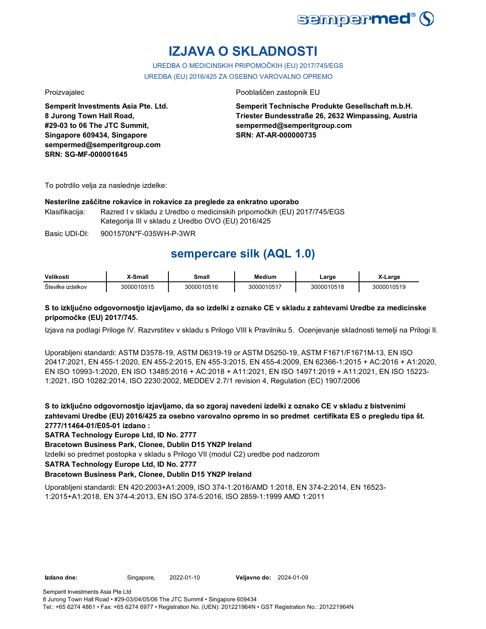

# **IZJAVA O SKLADNOSTI**

UREDBA O MEDICINSKIH PRIPOMOČKIH (EU) 2017/745/EGS UREDBA (EU) 2016/425 ZA OSEBNO VAROVALNO OPREMO

**Semperit Investments Asia Pte. Ltd. 8 Jurong Town Hall Road, #29-03 to 06 The JTC Summit, Singapore 609434, Singapore sempermed@semperitgroup.com SRN: SG-MF-000001645**

### Proizvajalec Pooblaščen zastopnik EU

**Semperit Technische Produkte Gesellschaft m.b.H. Triester Bundesstraße 26, 2632 Wimpassing, Austria sempermed@semperitgroup.com SRN: AT-AR-000000735**

To potrdilo velja za naslednje izdelke:

### **Nesterilne zaščitne rokavice in rokavice za preglede za enkratno uporabo**

Klasifikacija: Razred I v skladu z Uredbo o medicinskih pripomočkih (EU) 2017/745/EGS Kategorija III v skladu z Uredbo OVO (EU) 2016/425

Basic UDI-DI: 9001570N\*F-035WH-P-3WR

# **sempercare silk (AQL 1.0)**

| Velikosti         | X-Small    | Small      | Medium     | Large      | X-Large    |
|-------------------|------------|------------|------------|------------|------------|
| Številke izdelkov | 3000010515 | 3000010516 | 3000010517 | 3000010518 | 3000010519 |

### **S to izključno odgovornostjo izjavljamo, da so izdelki z oznako CE v skladu z zahtevami Uredbe za medicinske pripomočke (EU) 2017/745.**

Izjava na podlagi Priloge IV. Razvrstitev v skladu s Prilogo VIII k Pravilniku 5. Ocenjevanje skladnosti temelji na Prilogi II.

Uporabljeni standardi: ASTM D3578-19, ASTM D6319-19 or ASTM D5250-19, ASTM F1671/F1671M-13, EN ISO 20417:2021, EN 455-1:2020, EN 455-2:2015, EN 455-3:2015, EN 455-4:2009, EN 62366-1:2015 + AC:2016 + A1:2020, EN ISO 10993-1:2020, EN ISO 13485:2016 + AC:2018 + A11:2021, EN ISO 14971:2019 + A11:2021, EN ISO 15223- 1:2021, ISO 10282:2014, ISO 2230:2002, MEDDEV 2.7/1 revision 4, Regulation (EC) 1907/2006

**S to izključno odgovornostjo izjavljamo, da so zgoraj navedeni izdelki z oznako CE v skladu z bistvenimi zahtevami Uredbe (EU) 2016/425 za osebno varovalno opremo in so predmet certifikata ES o pregledu tipa št. 2777/11464-01/E05-01 izdano :**

**SATRA Technology Europe Ltd, ID No. 2777**

**Bracetown Business Park, Clonee, Dublin D15 YN2P Ireland**

Izdelki so predmet postopka v skladu s Prilogo VII (modul C2) uredbe pod nadzorom

**SATRA Technology Europe Ltd, ID No. 2777**

### **Bracetown Business Park, Clonee, Dublin D15 YN2P Ireland**

Uporabljeni standardi: EN 420:2003+A1:2009, ISO 374-1:2016/AMD 1:2018, EN 374-2:2014, EN 16523- 1:2015+A1:2018, EN 374-4:2013, EN ISO 374-5:2016, ISO 2859-1:1999 AMD 1:2011

**Izdano dne:** Singapore, 2022-01-10 **Veljavno do:** 2024-01-09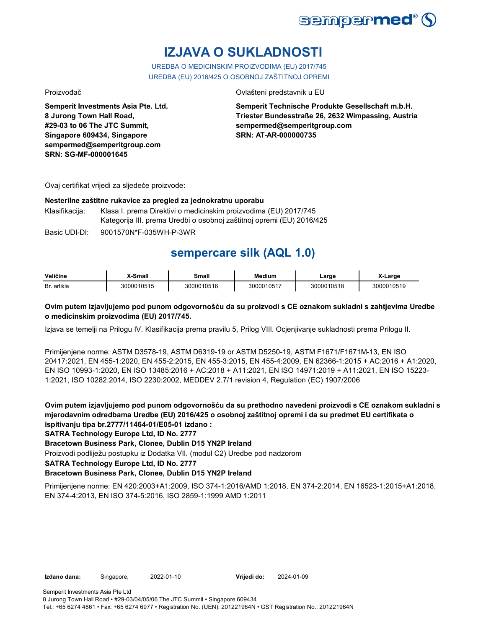

# **IZJAVA O SUKLADNOSTI**

UREDBA O MEDICINSKIM PROIZVODIMA (EU) 2017/745 UREDBA (EU) 2016/425 O OSOBNOJ ZAŠTITNOJ OPREMI

**Semperit Investments Asia Pte. Ltd. 8 Jurong Town Hall Road, #29-03 to 06 The JTC Summit, Singapore 609434, Singapore sempermed@semperitgroup.com SRN: SG-MF-000001645**

### Proizvođač Ovlašteni predstavnik u EU

**Semperit Technische Produkte Gesellschaft m.b.H. Triester Bundesstraße 26, 2632 Wimpassing, Austria sempermed@semperitgroup.com SRN: AT-AR-000000735**

Ovaj certifikat vrijedi za sljedeće proizvode:

### **Nesterilne zaštitne rukavice za pregled za jednokratnu uporabu**

Klasifikacija: Klasa I. prema Direktivi o medicinskim proizvodima (EU) 2017/745 Kategorija III. prema Uredbi o osobnoj zaštitnoj opremi (EU) 2016/425

Basic UDI-DI: 9001570N\*F-035WH-P-3WR

# **sempercare silk (AQL 1.0)**

| Veličine    | <b>′ Small</b> | Small      | Medium     | ∟arɑe      | X-Large    |
|-------------|----------------|------------|------------|------------|------------|
| Br. artikla | 3000010515     | 3000010516 | 3000010517 | 3000010518 | 3000010519 |

### **Ovim putem izjavljujemo pod punom odgovornošću da su proizvodi s CE oznakom sukladni s zahtjevima Uredbe o medicinskim proizvodima (EU) 2017/745.**

Izjava se temelji na Prilogu IV. Klasifikacija prema pravilu 5, Prilog VIII. Ocjenjivanje sukladnosti prema Prilogu II.

Primijenjene norme: ASTM D3578-19, ASTM D6319-19 or ASTM D5250-19, ASTM F1671/F1671M-13, EN ISO 20417:2021, EN 455-1:2020, EN 455-2:2015, EN 455-3:2015, EN 455-4:2009, EN 62366-1:2015 + AC:2016 + A1:2020, EN ISO 10993-1:2020, EN ISO 13485:2016 + AC:2018 + A11:2021, EN ISO 14971:2019 + A11:2021, EN ISO 15223- 1:2021, ISO 10282:2014, ISO 2230:2002, MEDDEV 2.7/1 revision 4, Regulation (EC) 1907/2006

**Ovim putem izjavljujemo pod punom odgovornošću da su prethodno navedeni proizvodi s CE oznakom sukladni s mjerodavnim odredbama Uredbe (EU) 2016/425 o osobnoj zaštitnoj opremi i da su predmet EU certifikata o ispitivanju tipa br.2777/11464-01/E05-01 izdano :**

**SATRA Technology Europe Ltd, ID No. 2777**

### **Bracetown Business Park, Clonee, Dublin D15 YN2P Ireland**

Proizvodi podliježu postupku iz Dodatka VII. (modul C2) Uredbe pod nadzorom

**SATRA Technology Europe Ltd, ID No. 2777**

### **Bracetown Business Park, Clonee, Dublin D15 YN2P Ireland**

Primijenjene norme: EN 420:2003+A1:2009, ISO 374-1:2016/AMD 1:2018, EN 374-2:2014, EN 16523-1:2015+A1:2018, EN 374-4:2013, EN ISO 374-5:2016, ISO 2859-1:1999 AMD 1:2011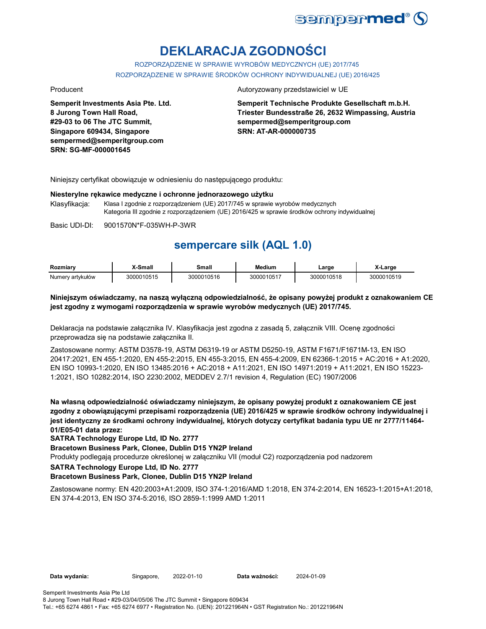

# **DEKLARACJA ZGODNOŚCI**

ROZPORZĄDZENIE W SPRAWIE WYROBÓW MEDYCZNYCH (UE) 2017/745 ROZPORZĄDZENIE W SPRAWIE ŚRODKÓW OCHRONY INDYWIDUALNEJ (UE) 2016/425

**Semperit Investments Asia Pte. Ltd. 8 Jurong Town Hall Road, #29-03 to 06 The JTC Summit, Singapore 609434, Singapore sempermed@semperitgroup.com SRN: SG-MF-000001645**

### Producent **Autoryzowany przedstawiciel w UE**

**Semperit Technische Produkte Gesellschaft m.b.H. Triester Bundesstraße 26, 2632 Wimpassing, Austria sempermed@semperitgroup.com SRN: AT-AR-000000735**

Niniejszy certyfikat obowiązuje w odniesieniu do następującego produktu:

### **Niesterylne rękawice medyczne i ochronne jednorazowego użytku**

Klasyfikacja: Klasa I zgodnie z rozporządzeniem (UE) 2017/745 w sprawie wyrobów medycznych Kategoria III zgodnie z rozporządzeniem (UE) 2016/425 w sprawie środków ochrony indywidualnej

Basic UDI-DI: 9001570N\*F-035WH-P-3WR

### **sempercare silk (AQL 1.0)**

| Rozmiarv         | K-Small    | Small      | <b>Medium</b> | Large      | X-Large    |
|------------------|------------|------------|---------------|------------|------------|
| Numery artykułów | 3000010515 | 3000010516 | 3000010517    | 3000010518 | 3000010519 |

### **Niniejszym oświadczamy, na naszą wyłączną odpowiedzialność, że opisany powyżej produkt z oznakowaniem CE jest zgodny z wymogami rozporządzenia w sprawie wyrobów medycznych (UE) 2017/745.**

Deklaracja na podstawie załącznika IV. Klasyfikacja jest zgodna z zasadą 5, załącznik VIII. Ocenę zgodności przeprowadza się na podstawie załącznika II.

Zastosowane normy: ASTM D3578-19, ASTM D6319-19 or ASTM D5250-19, ASTM F1671/F1671M-13, EN ISO 20417:2021, EN 455-1:2020, EN 455-2:2015, EN 455-3:2015, EN 455-4:2009, EN 62366-1:2015 + AC:2016 + A1:2020, EN ISO 10993-1:2020, EN ISO 13485:2016 + AC:2018 + A11:2021, EN ISO 14971:2019 + A11:2021, EN ISO 15223- 1:2021, ISO 10282:2014, ISO 2230:2002, MEDDEV 2.7/1 revision 4, Regulation (EC) 1907/2006

**Na własną odpowiedzialność oświadczamy niniejszym, że opisany powyżej produkt z oznakowaniem CE jest zgodny z obowiązującymi przepisami rozporządzenia (UE) 2016/425 w sprawie środków ochrony indywidualnej i jest identyczny ze środkami ochrony indywidualnej, których dotyczy certyfikat badania typu UE nr 2777/11464- 01/E05-01 data przez:**

### **SATRA Technology Europe Ltd, ID No. 2777**

**Bracetown Business Park, Clonee, Dublin D15 YN2P Ireland**

Produkty podlegają procedurze określonej w załączniku VII (moduł C2) rozporządzenia pod nadzorem

**SATRA Technology Europe Ltd, ID No. 2777**

### **Bracetown Business Park, Clonee, Dublin D15 YN2P Ireland**

Zastosowane normy: EN 420:2003+A1:2009, ISO 374-1:2016/AMD 1:2018, EN 374-2:2014, EN 16523-1:2015+A1:2018, EN 374-4:2013, EN ISO 374-5:2016, ISO 2859-1:1999 AMD 1:2011

**Data wydania:** Singapore, 2022-01-10 **Data ważności:** 2024-01-09

8 Jurong Town Hall Road • #29-03/04/05/06 The JTC Summit • Singapore 609434 Tel.: +65 6274 4861 • Fax: +65 6274 6977 • Registration No. (UEN): 201221964N • GST Registration No.: 201221964N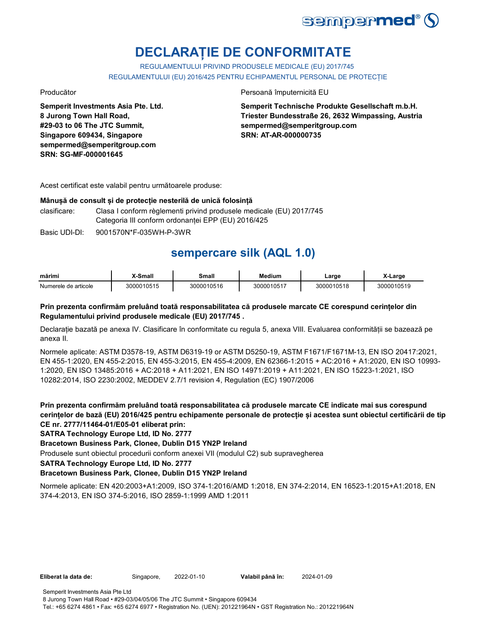

# **DECLARAȚIE DE CONFORMITATE**

REGULAMENTULUI PRIVIND PRODUSELE MEDICALE (EU) 2017/745 REGULAMENTULUI (EU) 2016/425 PENTRU ECHIPAMENTUL PERSONAL DE PROTECȚIE

**Semperit Investments Asia Pte. Ltd. 8 Jurong Town Hall Road, #29-03 to 06 The JTC Summit, Singapore 609434, Singapore sempermed@semperitgroup.com SRN: SG-MF-000001645**

### Producător Persoană împuternicită EU

**Semperit Technische Produkte Gesellschaft m.b.H. Triester Bundesstraße 26, 2632 Wimpassing, Austria sempermed@semperitgroup.com SRN: AT-AR-000000735**

Acest certificat este valabil pentru următoarele produse:

### **Mânușă de consult și de protecție nesterilă de unică folosință**

clasificare: Clasa I conform règlementi privind produsele medicale (EU) 2017/745 Categoria III conform ordonanței EPP (EU) 2016/425

Basic UDI-DI: 9001570N\*F-035WH-P-3WR

# **sempercare silk (AQL 1.0)**

| mărimi               | -Small     | Small      | <b>Medium</b> | ∟arge      | -Large     |
|----------------------|------------|------------|---------------|------------|------------|
| Numerele de articole | 3000010515 | 3000010516 | 3000010517    | 3000010518 | 3000010519 |

### **Prin prezenta confirmăm preluând toată responsabilitatea că produsele marcate CE corespund cerințelor din Regulamentului privind produsele medicale (EU) 2017/745 .**

Declarație bazată pe anexa IV. Clasificare în conformitate cu regula 5, anexa VIII. Evaluarea conformității se bazează pe anexa II.

Normele aplicate: ASTM D3578-19, ASTM D6319-19 or ASTM D5250-19, ASTM F1671/F1671M-13, EN ISO 20417:2021, EN 455-1:2020, EN 455-2:2015, EN 455-3:2015, EN 455-4:2009, EN 62366-1:2015 + AC:2016 + A1:2020, EN ISO 10993- 1:2020, EN ISO 13485:2016 + AC:2018 + A11:2021, EN ISO 14971:2019 + A11:2021, EN ISO 15223-1:2021, ISO 10282:2014, ISO 2230:2002, MEDDEV 2.7/1 revision 4, Regulation (EC) 1907/2006

**Prin prezenta confirmăm preluând toată responsabilitatea că produsele marcate CE indicate mai sus corespund cerințelor de bază (EU) 2016/425 pentru echipamente personale de protecție și acestea sunt obiectul certificării de tip CE nr. 2777/11464-01/E05-01 eliberat prin:**

**SATRA Technology Europe Ltd, ID No. 2777**

### **Bracetown Business Park, Clonee, Dublin D15 YN2P Ireland**

Produsele sunt obiectul procedurii conform anexei VII (modulul C2) sub supravegherea

**SATRA Technology Europe Ltd, ID No. 2777**

### **Bracetown Business Park, Clonee, Dublin D15 YN2P Ireland**

Normele aplicate: EN 420:2003+A1:2009, ISO 374-1:2016/AMD 1:2018, EN 374-2:2014, EN 16523-1:2015+A1:2018, EN 374-4:2013, EN ISO 374-5:2016, ISO 2859-1:1999 AMD 1:2011

**Eliberat la data de:** Singapore, 2022-01-10 **Valabil până în:** 2024-01-09

8 Jurong Town Hall Road • #29-03/04/05/06 The JTC Summit • Singapore 609434 Tel.: +65 6274 4861 • Fax: +65 6274 6977 • Registration No. (UEN): 201221964N • GST Registration No.: 201221964N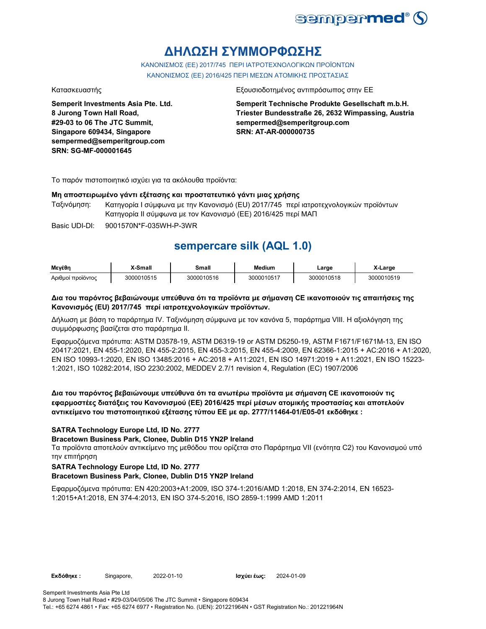

# **ΔΗΛΩΣΗ ΣΥΜΜΟΡΦΩΣΗΣ**

ΚΑΝΟΝΙΣΜΟΣ (EE) 2017/745 ΠΕΡΙ ΙΑΤΡΟΤΕΧΝΟΛΟΓΙΚΩΝ ΠΡΟΪΟΝΤΩΝ ΚΑΝΟΝΙΣΜΟΣ (ΕΕ) 2016/425 ΠΕΡΙ ΜΕΣΩΝ ΑΤΟΜΙΚΗΣ ΠΡΟΣΤΑΣΙΑΣ

**Semperit Investments Asia Pte. Ltd. 8 Jurong Town Hall Road, #29-03 to 06 The JTC Summit, Singapore 609434, Singapore sempermed@semperitgroup.com SRN: SG-MF-000001645**

### Κατασκευαστής Εξουσιοδοτημένος αντιπρόσωπος στην ΕΕ

**Semperit Technische Produkte Gesellschaft m.b.H. Triester Bundesstraße 26, 2632 Wimpassing, Austria sempermed@semperitgroup.com SRN: AT-AR-000000735**

Το παρόν πιστοποιητικό ισχύει για τα ακόλουθα προϊόντα:

### **Μη αποστειρωμένο γάντι εξέτασης και προστατευτικό γάντι μιας χρήσης**

Ταξινόμηση: Κατηγορία I σύμφωνα με την Κανονισμό (EU) 2017/745 περί ιατροτεχνολογικών προϊόντων Κατηγορία II σύμφωνα με τον Κανονισμό (ΕΕ) 2016/425 περί ΜΑΠ

Basic UDI-DI: 9001570N\*F-035WH-P-3WR

## **sempercare silk (AQL 1.0)**

| Μενέθη            | X-Small    | Small<br>____ | <b>Medium</b> | Large      | X-Large    |
|-------------------|------------|---------------|---------------|------------|------------|
| Αριθμοί προϊόντος | 3000010515 | 3000010516    | 3000010517    | 3000010518 | 3000010519 |

### **Δια του παρόντος βεβαιώνουμε υπεύθυνα ότι τα προϊόντα με σήμανση CE ικανοποιούν τις απαιτήσεις της Κανονισμός (EU) 2017/745 περί ιατροτεχνολογικών προϊόντων.**

Δήλωση με βάση το παράρτημα IV. Ταξινόμηση σύμφωνα με τον κανόνα 5, παράρτημα VIII. Η αξιολόγηση της συμμόρφωσης βασίζεται στο παράρτημα II.

Εφαρμοζόμενα πρότυπα: ASTM D3578-19, ASTM D6319-19 or ASTM D5250-19, ASTM F1671/F1671M-13, EN ISO 20417:2021, EN 455-1:2020, EN 455-2:2015, EN 455-3:2015, EN 455-4:2009, EN 62366-1:2015 + AC:2016 + A1:2020, EN ISO 10993-1:2020, EN ISO 13485:2016 + AC:2018 + A11:2021, EN ISO 14971:2019 + A11:2021, EN ISO 15223- 1:2021, ISO 10282:2014, ISO 2230:2002, MEDDEV 2.7/1 revision 4, Regulation (EC) 1907/2006

### **Δια του παρόντος βεβαιώνουμε υπεύθυνα ότι τα ανωτέρω προϊόντα με σήμανση CE ικανοποιούν τις εφαρμοστέες διατάξεις του Κανονισμού (ΕΕ) 2016/425 περί μέσων ατομικής προστασίας και αποτελούν αντικείμενο του πιστοποιητικού εξέτασης τύπου ΕΕ με αρ. 2777/11464-01/E05-01 εκδόθηκε :**

### **SATRA Technology Europe Ltd, ID No. 2777**

**Bracetown Business Park, Clonee, Dublin D15 YN2P Ireland**

Τα προϊόντα αποτελούν αντικείμενο της μεθόδου που ορίζεται στο Παράρτημα VII (ενότητα C2) του Κανονισμού υπό την επιτήρηση

### **SATRA Technology Europe Ltd, ID No. 2777**

### **Bracetown Business Park, Clonee, Dublin D15 YN2P Ireland**

Εφαρμοζόμενα πρότυπα: EN 420:2003+A1:2009, ISO 374-1:2016/AMD 1:2018, EN 374-2:2014, EN 16523- 1:2015+A1:2018, EN 374-4:2013, EN ISO 374-5:2016, ISO 2859-1:1999 AMD 1:2011

**Εκδόθηκε :** Singapore, 2022-01-10 **Ισχύει έως:** 2024-01-09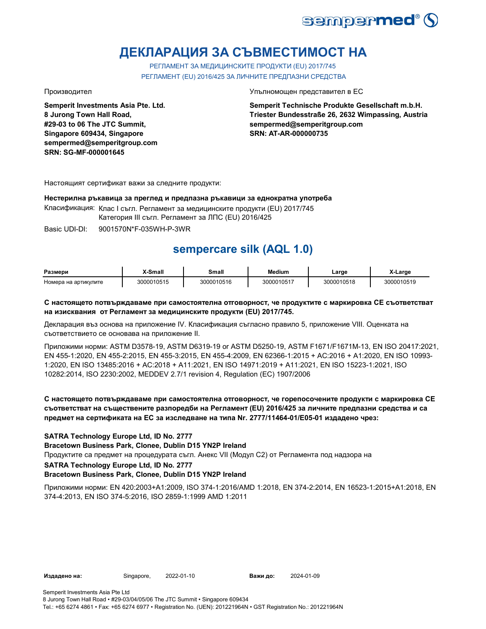

# **ДЕКЛАРАЦИЯ ЗА СЪВМЕСТИМОСТ НА**

РЕГЛАМЕНТ ЗА МЕДИЦИНСКИТЕ ПРОДУКТИ (EU) 2017/745 РЕГЛАМЕНТ (EU) 2016/425 ЗА ЛИЧНИТЕ ПРЕДПАЗНИ СРЕДСТВА

**Semperit Investments Asia Pte. Ltd. 8 Jurong Town Hall Road, #29-03 to 06 The JTC Summit, Singapore 609434, Singapore sempermed@semperitgroup.com SRN: SG-MF-000001645**

### Производител Упълномощен представител в ЕС

**Semperit Technische Produkte Gesellschaft m.b.H. Triester Bundesstraße 26, 2632 Wimpassing, Austria sempermed@semperitgroup.com SRN: AT-AR-000000735**

Настоящият сертификат важи за следните продукти:

### **Нестерилна ръкавица за преглед и предпазна ръкавици за еднократна употреба**

Класификация: Клас I съгл. Регламент за медицинските продукти (EU) 2017/745

Категория III съгл. Регламент за ЛПС (EU) 2016/425

Basic UDI-DI: 9001570N\*F-035WH-P-3WR

## **sempercare silk (AQL 1.0)**

| Размери              | X-Small    | Small      | <b>Medium</b> | _arge      | X-Large    |
|----------------------|------------|------------|---------------|------------|------------|
| Номера на артикулите | 3000010515 | 3000010516 | 3000010517    | 3000010518 | 3000010519 |

### **С настоящето потвърждаваме при самостоятелна отговорност, че продуктите с маркировка СЕ съответстват на изисквания от Регламент за медицинските продукти (EU) 2017/745.**

Декларация въз основа на приложение IV. Класификация съгласно правило 5, приложение VIII. Оценката на съответствието се основава на приложение II.

Приложими норми: ASTM D3578-19, ASTM D6319-19 or ASTM D5250-19, ASTM F1671/F1671M-13, EN ISO 20417:2021, EN 455-1:2020, EN 455-2:2015, EN 455-3:2015, EN 455-4:2009, EN 62366-1:2015 + AC:2016 + A1:2020, EN ISO 10993- 1:2020, EN ISO 13485:2016 + AC:2018 + A11:2021, EN ISO 14971:2019 + A11:2021, EN ISO 15223-1:2021, ISO 10282:2014, ISO 2230:2002, MEDDEV 2.7/1 revision 4, Regulation (EC) 1907/2006

### **С настоящето потвърждаваме при самостоятелна отговорност, че горепосочените продукти с маркировка СЕ съответстват на съществените разпоредби на Регламент (EU) 2016/425 за личните предпазни средства и са предмет на сертификата на ЕС за изследване на типа Nr. 2777/11464-01/E05-01 издадено чрез:**

### **SATRA Technology Europe Ltd, ID No. 2777**

### **Bracetown Business Park, Clonee, Dublin D15 YN2P Ireland**

Продуктите са предмет на процедурата съгл. Анекс VII (Модул С2) от Регламента под надзора на

### **SATRA Technology Europe Ltd, ID No. 2777**

### **Bracetown Business Park, Clonee, Dublin D15 YN2P Ireland**

Приложими норми: EN 420:2003+A1:2009, ISO 374-1:2016/AMD 1:2018, EN 374-2:2014, EN 16523-1:2015+A1:2018, EN 374-4:2013, EN ISO 374-5:2016, ISO 2859-1:1999 AMD 1:2011

**Издадено на:** Singapore, 2022-01-10 **Важи до:** 2024-01-09